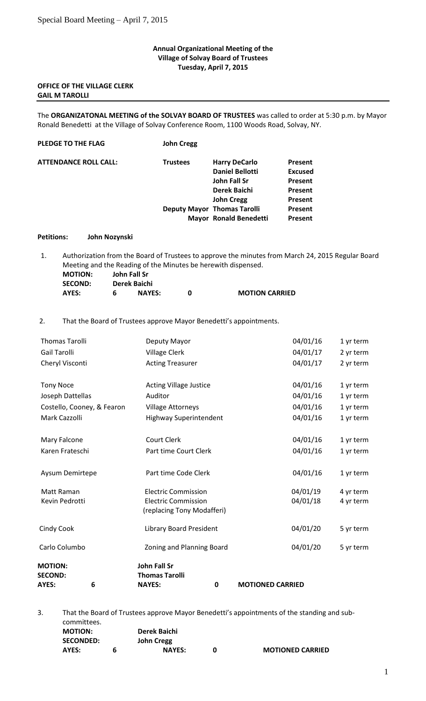### **Annual Organizational Meeting of the Village of Solvay Board of Trustees Tuesday, April 7, 2015**

# **OFFICE OF THE VILLAGE CLERK GAIL M TAROLLI**

The **ORGANIZATONAL MEETING of the SOLVAY BOARD OF TRUSTEES** was called to order at 5:30 p.m. by Mayor Ronald Benedetti at the Village of Solvay Conference Room, 1100 Woods Road, Solvay, NY.

| PLEDGE TO THE FLAG           | <b>John Cregg</b> |                                    |                |
|------------------------------|-------------------|------------------------------------|----------------|
| <b>ATTENDANCE ROLL CALL:</b> | <b>Trustees</b>   | <b>Harry DeCarlo</b>               | <b>Present</b> |
|                              |                   | <b>Daniel Bellotti</b>             | <b>Excused</b> |
|                              |                   | John Fall Sr                       | <b>Present</b> |
|                              |                   | Derek Baichi                       | <b>Present</b> |
|                              |                   | <b>John Cregg</b>                  | <b>Present</b> |
|                              |                   | <b>Deputy Mayor Thomas Tarolli</b> | <b>Present</b> |
|                              |                   | <b>Mayor Ronald Benedetti</b>      | <b>Present</b> |
|                              |                   |                                    |                |

### **Petitions: John Nozynski**

1. Authorization from the Board of Trustees to approve the minutes from March 24, 2015 Regular Board Meeting and the Reading of the Minutes be herewith dispensed. **MOTION: John Fall Sr**

**MOTION CARRIED** 

| <b>SECOND:</b> |   | Derek Baichi  |   |
|----------------|---|---------------|---|
| AYES:          | 6 | <b>NAYES:</b> | 0 |

2. That the Board of Trustees approve Mayor Benedetti's appointments.

| <b>MOTION:</b><br><b>SECOND:</b><br>6<br>AYES: | <b>John Fall Sr</b><br><b>Thomas Tarolli</b><br><b>NAYES:</b><br>0 | <b>MOTIONED CARRIED</b> |                        |
|------------------------------------------------|--------------------------------------------------------------------|-------------------------|------------------------|
| Carlo Columbo                                  | Zoning and Planning Board                                          | 04/01/20                | 5 yr term              |
| Cindy Cook                                     | <b>Library Board President</b>                                     | 04/01/20                | 5 yr term              |
|                                                | (replacing Tony Modafferi)                                         |                         |                        |
| Matt Raman<br>Kevin Pedrotti                   | <b>Electric Commission</b><br><b>Electric Commission</b>           | 04/01/19<br>04/01/18    | 4 yr term<br>4 yr term |
| Aysum Demirtepe                                | Part time Code Clerk                                               | 04/01/16                | 1 yr term              |
| Karen Frateschi                                | Part time Court Clerk                                              | 04/01/16                | 1 yr term              |
| Mary Falcone                                   | Court Clerk                                                        | 04/01/16                | 1 yr term              |
| Mark Cazzolli                                  | <b>Highway Superintendent</b>                                      | 04/01/16                | 1 yr term              |
| Costello, Cooney, & Fearon                     | <b>Village Attorneys</b>                                           | 04/01/16                | 1 yr term              |
| Joseph Dattellas                               | Auditor                                                            | 04/01/16                | 1 yr term              |
| <b>Tony Noce</b>                               | <b>Acting Village Justice</b>                                      | 04/01/16                | 1 yr term              |
| Cheryl Visconti                                | <b>Acting Treasurer</b>                                            | 04/01/17                | 2 yr term              |
| <b>Gail Tarolli</b>                            | Village Clerk                                                      | 04/01/17                | 2 yr term              |
| <b>Thomas Tarolli</b>                          | Deputy Mayor                                                       | 04/01/16                | 1 yr term              |

3. That the Board of Trustees approve Mayor Benedetti's appointments of the standing and subcommittees. **MOTION: Derek Baichi SECONDED: John Cregg AYES: 6 NAYES: 0 MOTIONED CARRIED**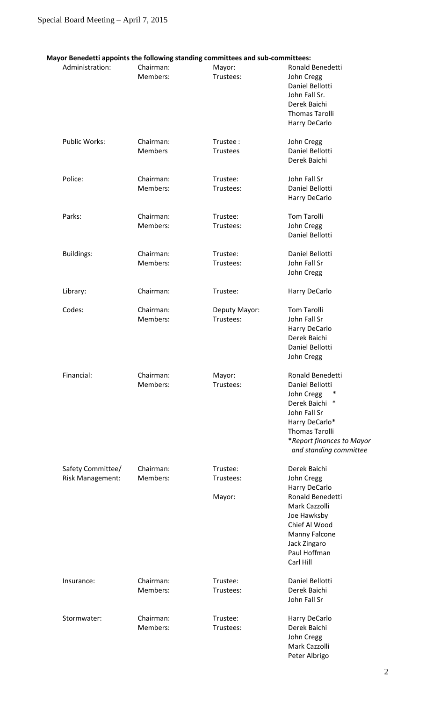| Administration:         | Chairman:      | Mayor:          | Ronald Benedetti                |
|-------------------------|----------------|-----------------|---------------------------------|
|                         | Members:       | Trustees:       |                                 |
|                         |                |                 | John Cregg                      |
|                         |                |                 | Daniel Bellotti                 |
|                         |                |                 | John Fall Sr.                   |
|                         |                |                 | Derek Baichi                    |
|                         |                |                 | <b>Thomas Tarolli</b>           |
|                         |                |                 | Harry DeCarlo                   |
| Public Works:           | Chairman:      | Trustee:        |                                 |
|                         |                |                 | John Cregg                      |
|                         | <b>Members</b> | <b>Trustees</b> | Daniel Bellotti<br>Derek Baichi |
|                         |                |                 |                                 |
| Police:                 | Chairman:      | Trustee:        | John Fall Sr                    |
|                         | Members:       | Trustees:       | Daniel Bellotti                 |
|                         |                |                 | Harry DeCarlo                   |
| Parks:                  | Chairman:      | Trustee:        | <b>Tom Tarolli</b>              |
|                         | Members:       | Trustees:       | John Cregg                      |
|                         |                |                 | Daniel Bellotti                 |
|                         |                |                 |                                 |
| <b>Buildings:</b>       | Chairman:      | Trustee:        | Daniel Bellotti                 |
|                         | Members:       | Trustees:       | John Fall Sr                    |
|                         |                |                 | John Cregg                      |
| Library:                | Chairman:      | Trustee:        | Harry DeCarlo                   |
|                         |                |                 |                                 |
| Codes:                  | Chairman:      | Deputy Mayor:   | <b>Tom Tarolli</b>              |
|                         | Members:       | Trustees:       | John Fall Sr                    |
|                         |                |                 | Harry DeCarlo                   |
|                         |                |                 | Derek Baichi                    |
|                         |                |                 | Daniel Bellotti                 |
|                         |                |                 | John Cregg                      |
| Financial:              | Chairman:      | Mayor:          | Ronald Benedetti                |
|                         | Members:       | Trustees:       |                                 |
|                         |                |                 | Daniel Bellotti                 |
|                         |                |                 | John Cregg<br>∗                 |
|                         |                |                 | Derek Baichi<br>∗               |
|                         |                |                 | John Fall Sr                    |
|                         |                |                 | Harry DeCarlo*                  |
|                         |                |                 | <b>Thomas Tarolli</b>           |
|                         |                |                 | *Report finances to Mayor       |
|                         |                |                 | and standing committee          |
|                         |                |                 |                                 |
| Safety Committee/       | Chairman:      | Trustee:        | Derek Baichi                    |
| <b>Risk Management:</b> | Members:       | Trustees:       | John Cregg                      |
|                         |                |                 | Harry DeCarlo                   |
|                         |                | Mayor:          | Ronald Benedetti                |
|                         |                |                 | Mark Cazzolli                   |
|                         |                |                 | Joe Hawksby                     |
|                         |                |                 | Chief Al Wood                   |
|                         |                |                 | Manny Falcone                   |
|                         |                |                 | Jack Zingaro                    |
|                         |                |                 | Paul Hoffman                    |
|                         |                |                 | Carl Hill                       |
| Insurance:              | Chairman:      | Trustee:        | Daniel Bellotti                 |
|                         |                |                 |                                 |
|                         | Members:       | Trustees:       | Derek Baichi<br>John Fall Sr    |
|                         |                |                 |                                 |
| Stormwater:             | Chairman:      | Trustee:        | Harry DeCarlo                   |
|                         | Members:       | Trustees:       | Derek Baichi                    |
|                         |                |                 | John Cregg                      |
|                         |                |                 | Mark Cazzolli                   |

Peter Albrigo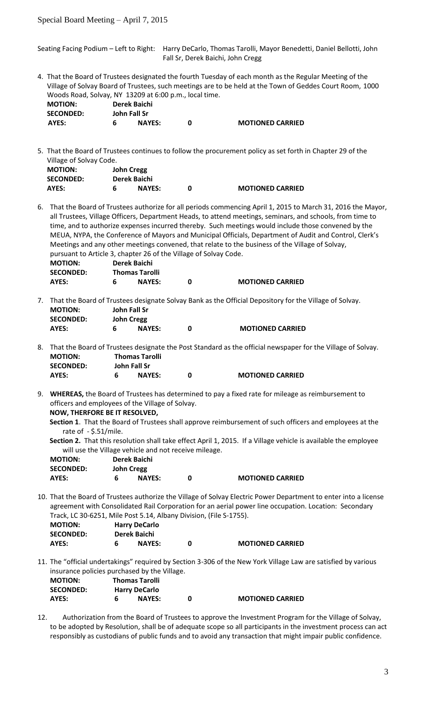Seating Facing Podium – Left to Right: Harry DeCarlo, Thomas Tarolli, Mayor Benedetti, Daniel Bellotti, John Fall Sr, Derek Baichi, John Cregg

4. That the Board of Trustees designated the fourth Tuesday of each month as the Regular Meeting of the Village of Solvay Board of Trustees, such meetings are to be held at the Town of Geddes Court Room, 1000 Woods Road, Solvay, NY 13209 at 6:00 p.m., local time.

| <b>MOTION:</b>   | Derek Baichi  |                         |
|------------------|---------------|-------------------------|
| <b>SECONDED:</b> | John Fall Sr  |                         |
| AYES:            | <b>NAYES:</b> | <b>MOTIONED CARRIED</b> |

5. That the Board of Trustees continues to follow the procurement policy as set forth in Chapter 29 of the Village of Solvay Code.

| <b>MOTION:</b>   | <b>John Cregg</b> |               |                         |
|------------------|-------------------|---------------|-------------------------|
| <b>SECONDED:</b> | Derek Baichi      |               |                         |
| AYES:            |                   | <b>NAYES:</b> | <b>MOTIONED CARRIED</b> |

6. That the Board of Trustees authorize for all periods commencing April 1, 2015 to March 31, 2016 the Mayor, all Trustees, Village Officers, Department Heads, to attend meetings, seminars, and schools, from time to time, and to authorize expenses incurred thereby. Such meetings would include those convened by the MEUA, NYPA, the Conference of Mayors and Municipal Officials, Department of Audit and Control, Clerk's Meetings and any other meetings convened, that relate to the business of the Village of Solvay, pursuant to Article 3, chapter 26 of the Village of Solvay Code. **MOTION: Derek Baichi SECONDED: Thomas Tarolli**

| AYES: | <b>NAYES:</b> | <b>MOTIONED CARRIED</b>                                                                                   |
|-------|---------------|-----------------------------------------------------------------------------------------------------------|
|       |               | 7. That the Board of Trustees designate Solvay Bank as the Official Depository for the Village of Solvay. |

| <b>MOTION:</b>   |   | John Fall Sr      |   |
|------------------|---|-------------------|---|
| <b>SECONDED:</b> |   | <b>John Cregg</b> |   |
| AYES:            | 6 | <b>NAYES:</b>     | 0 |

8. That the Board of Trustees designate the Post Standard as the official newspaper for the Village of Solvay. **MOTION: Thomas Tarolli SECONDED: John Fall Sr AYES: 6 NAYES: 0 MOTIONED CARRIED**

**AYES: 6 NAYES: 0 MOTIONED CARRIED**

9. **WHEREAS,** the Board of Trustees has determined to pay a fixed rate for mileage as reimbursement to officers and employees of the Village of Solvay.  **NOW, THERFORE BE IT RESOLVED,** 

 **Section 1**. That the Board of Trustees shall approve reimbursement of such officers and employees at the rate of  $-$  \$.51/mile.

 **Section 2.** That this resolution shall take effect April 1, 2015. If a Village vehicle is available the employee will use the Village vehicle and not receive mileage.

| <b>MOTION:</b>   | Derek Baichi      |                         |
|------------------|-------------------|-------------------------|
| <b>SECONDED:</b> | <b>John Cregg</b> |                         |
| AYES:            | <b>NAYES:</b>     | <b>MOTIONED CARRIED</b> |

10. That the Board of Trustees authorize the Village of Solvay Electric Power Department to enter into a license agreement with Consolidated Rail Corporation for an aerial power line occupation. Location: Secondary Track, LC 30-6251, Mile Post 5.14, Albany Division, (File S-1755).

| <b>MOTION:</b>   |              | <b>Harry DeCarlo</b> |                         |
|------------------|--------------|----------------------|-------------------------|
| <b>SECONDED:</b> | Derek Baichi |                      |                         |
| AYES:            |              | <b>NAYES:</b>        | <b>MOTIONED CARRIED</b> |

11. The "official undertakings" required by Section 3-306 of the New York Village Law are satisfied by various insurance policies purchased by the Village.

| <b>MOTION:</b>   | <b>Thomas Tarolli</b> |                         |
|------------------|-----------------------|-------------------------|
| <b>SECONDED:</b> | <b>Harry DeCarlo</b>  |                         |
| AYES:            | <b>NAYES:</b>         | <b>MOTIONED CARRIED</b> |

12. Authorization from the Board of Trustees to approve the Investment Program for the Village of Solvay, to be adopted by Resolution, shall be of adequate scope so all participants in the investment process can act responsibly as custodians of public funds and to avoid any transaction that might impair public confidence.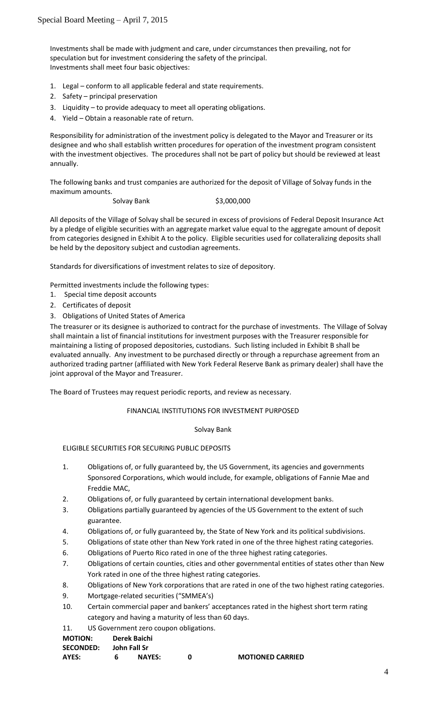Investments shall be made with judgment and care, under circumstances then prevailing, not for speculation but for investment considering the safety of the principal. Investments shall meet four basic objectives:

- 1. Legal conform to all applicable federal and state requirements.
- 2. Safety principal preservation
- 3. Liquidity to provide adequacy to meet all operating obligations.
- 4. Yield Obtain a reasonable rate of return.

Responsibility for administration of the investment policy is delegated to the Mayor and Treasurer or its designee and who shall establish written procedures for operation of the investment program consistent with the investment objectives. The procedures shall not be part of policy but should be reviewed at least annually.

The following banks and trust companies are authorized for the deposit of Village of Solvay funds in the maximum amounts.

Solvay Bank \$3,000,000

All deposits of the Village of Solvay shall be secured in excess of provisions of Federal Deposit Insurance Act by a pledge of eligible securities with an aggregate market value equal to the aggregate amount of deposit from categories designed in Exhibit A to the policy. Eligible securities used for collateralizing deposits shall be held by the depository subject and custodian agreements.

Standards for diversifications of investment relates to size of depository.

Permitted investments include the following types:

- 1. Special time deposit accounts
- 2. Certificates of deposit
- 3. Obligations of United States of America

The treasurer or its designee is authorized to contract for the purchase of investments. The Village of Solvay shall maintain a list of financial institutions for investment purposes with the Treasurer responsible for maintaining a listing of proposed depositories, custodians. Such listing included in Exhibit B shall be evaluated annually. Any investment to be purchased directly or through a repurchase agreement from an authorized trading partner (affiliated with New York Federal Reserve Bank as primary dealer) shall have the joint approval of the Mayor and Treasurer.

The Board of Trustees may request periodic reports, and review as necessary.

FINANCIAL INSTITUTIONS FOR INVESTMENT PURPOSED

### Solvay Bank

# ELIGIBLE SECURITIES FOR SECURING PUBLIC DEPOSITS

- 1. Obligations of, or fully guaranteed by, the US Government, its agencies and governments Sponsored Corporations, which would include, for example, obligations of Fannie Mae and Freddie MAC,
- 2. Obligations of, or fully guaranteed by certain international development banks.
- 3. Obligations partially guaranteed by agencies of the US Government to the extent of such guarantee.
- 4. Obligations of, or fully guaranteed by, the State of New York and its political subdivisions.
- 5. Obligations of state other than New York rated in one of the three highest rating categories.
- 6. Obligations of Puerto Rico rated in one of the three highest rating categories.
- 7. Obligations of certain counties, cities and other governmental entities of states other than New York rated in one of the three highest rating categories.
- 8. Obligations of New York corporations that are rated in one of the two highest rating categories.
- 9. Mortgage-related securities ("SMMEA's)
- 10. Certain commercial paper and bankers' acceptances rated in the highest short term rating category and having a maturity of less than 60 days.
- 11. US Government zero coupon obligations.

### **MOTION: Derek Baichi**

| .                | _______________ |                         |
|------------------|-----------------|-------------------------|
| <b>SECONDED:</b> | John Fall Sr    |                         |
| AYES:            | <b>NAYES:</b>   | <b>MOTIONED CARRIED</b> |